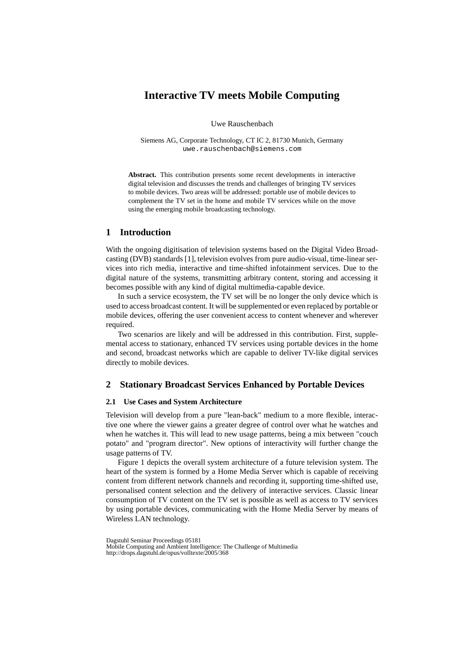# **Interactive TV meets Mobile Computing**

Uwe Rauschenbach

Siemens AG, Corporate Technology, CT IC 2, 81730 Munich, Germany uwe.rauschenbach@siemens.com

**Abstract.** This contribution presents some recent developments in interactive digital television and discusses the trends and challenges of bringing TV services to mobile devices. Two areas will be addressed: portable use of mobile devices to complement the TV set in the home and mobile TV services while on the move using the emerging mobile broadcasting technology.

## **1 Introduction**

With the ongoing digitisation of television systems based on the Digital Video Broadcasting (DVB) standards [1], television evolves from pure audio-visual, time-linear services into rich media, interactive and time-shifted infotainment services. Due to the digital nature of the systems, transmitting arbitrary content, storing and accessing it becomes possible with any kind of digital multimedia-capable device.

In such a service ecosystem, the TV set will be no longer the only device which is used to access broadcast content. It will be supplemented or even replaced by portable or mobile devices, offering the user convenient access to content whenever and wherever required.

Two scenarios are likely and will be addressed in this contribution. First, supplemental access to stationary, enhanced TV services using portable devices in the home and second, broadcast networks which are capable to deliver TV-like digital services directly to mobile devices.

# **2 Stationary Broadcast Services Enhanced by Portable Devices**

## **2.1 Use Cases and System Architecture**

Television will develop from a pure "lean-back" medium to a more flexible, interactive one where the viewer gains a greater degree of control over what he watches and when he watches it. This will lead to new usage patterns, being a mix between "couch potato" and "program director". New options of interactivity will further change the usage patterns of TV.

Figure 1 depicts the overall system architecture of a future television system. The heart of the system is formed by a Home Media Server which is capable of receiving content from different network channels and recording it, supporting time-shifted use, personalised content selection and the delivery of interactive services. Classic linear consumption of TV content on the TV set is possible as well as access to TV services by using portable devices, communicating with the Home Media Server by means of Wireless LAN technology.

Dagstuhl Seminar Proceedings 05181

Mobile Computing and Ambient Intelligence: The Challenge of Multimedia http://drops.dagstuhl.de/opus/volltexte/2005/368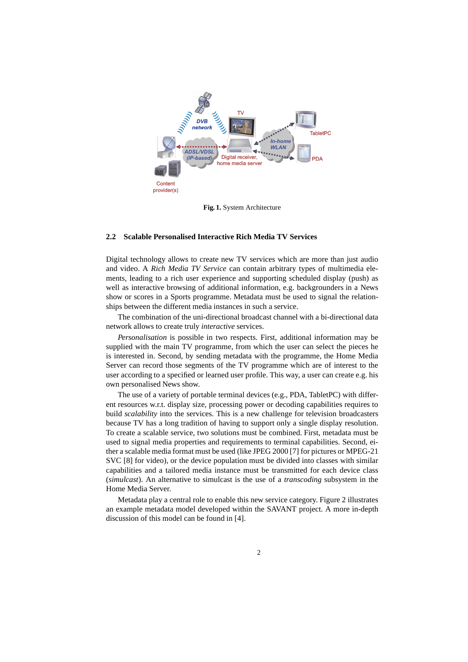

**Fig. 1.** System Architecture

#### **2.2 Scalable Personalised Interactive Rich Media TV Services**

Digital technology allows to create new TV services which are more than just audio and video. A *Rich Media TV Service* can contain arbitrary types of multimedia elements, leading to a rich user experience and supporting scheduled display (push) as well as interactive browsing of additional information, e.g. backgrounders in a News show or scores in a Sports programme. Metadata must be used to signal the relationships between the different media instances in such a service.

The combination of the uni-directional broadcast channel with a bi-directional data network allows to create truly *interactive* services.

*Personalisation* is possible in two respects. First, additional information may be supplied with the main TV programme, from which the user can select the pieces he is interested in. Second, by sending metadata with the programme, the Home Media Server can record those segments of the TV programme which are of interest to the user according to a specified or learned user profile. This way, a user can create e.g. his own personalised News show.

The use of a variety of portable terminal devices (e.g., PDA, TabletPC) with different resources w.r.t. display size, processing power or decoding capabilities requires to build *scalability* into the services. This is a new challenge for television broadcasters because TV has a long tradition of having to support only a single display resolution. To create a scalable service, two solutions must be combined. First, metadata must be used to signal media properties and requirements to terminal capabilities. Second, either a scalable media format must be used (like JPEG 2000 [7] for pictures or MPEG-21 SVC [8] for video), or the device population must be divided into classes with similar capabilities and a tailored media instance must be transmitted for each device class (*simulcast*). An alternative to simulcast is the use of a *transcoding* subsystem in the Home Media Server.

Metadata play a central role to enable this new service category. Figure 2 illustrates an example metadata model developed within the SAVANT project. A more in-depth discussion of this model can be found in [4].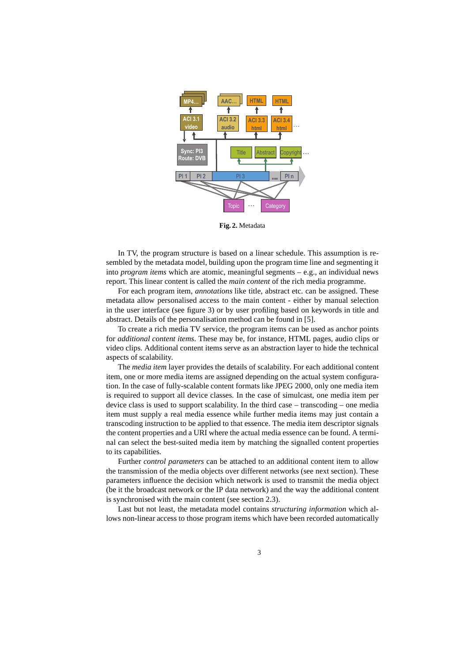

**Fig. 2.** Metadata

In TV, the program structure is based on a linear schedule. This assumption is resembled by the metadata model, building upon the program time line and segmenting it into *program items* which are atomic, meaningful segments – e.g., an individual news report. This linear content is called the *main content* of the rich media programme.

For each program item, *annotations* like title, abstract etc. can be assigned. These metadata allow personalised access to the main content - either by manual selection in the user interface (see figure 3) or by user profiling based on keywords in title and abstract. Details of the personalisation method can be found in [5].

To create a rich media TV service, the program items can be used as anchor points for *additional content items*. These may be, for instance, HTML pages, audio clips or video clips. Additional content items serve as an abstraction layer to hide the technical aspects of scalability.

The *media item* layer provides the details of scalability. For each additional content item, one or more media items are assigned depending on the actual system configuration. In the case of fully-scalable content formats like JPEG 2000, only one media item is required to support all device classes. In the case of simulcast, one media item per device class is used to support scalability. In the third case – transcoding – one media item must supply a real media essence while further media items may just contain a transcoding instruction to be applied to that essence. The media item descriptor signals the content properties and a URI where the actual media essence can be found. A terminal can select the best-suited media item by matching the signalled content properties to its capabilities.

Further *control parameters* can be attached to an additional content item to allow the transmission of the media objects over different networks (see next section). These parameters influence the decision which network is used to transmit the media object (be it the broadcast network or the IP data network) and the way the additional content is synchronised with the main content (see section 2.3).

Last but not least, the metadata model contains *structuring information* which allows non-linear access to those program items which have been recorded automatically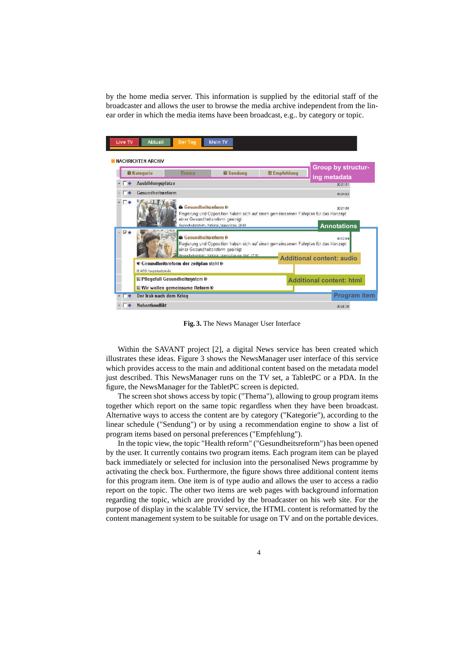by the home media server. This information is supplied by the editorial staff of the broadcaster and allows the user to browse the media archive independent from the linear order in which the media items have been broadcast, e.g.. by category or topic.



**Fig. 3.** The News Manager User Interface

Within the SAVANT project [2], a digital News service has been created which illustrates these ideas. Figure 3 shows the NewsManager user interface of this service which provides access to the main and additional content based on the metadata model just described. This NewsManager runs on the TV set, a TabletPC or a PDA. In the figure, the NewsManager for the TabletPC screen is depicted.

The screen shot shows access by topic ("Thema"), allowing to group program items together which report on the same topic regardless when they have been broadcast. Alternative ways to access the content are by category ("Kategorie"), according to the linear schedule ("Sendung") or by using a recommendation engine to show a list of program items based on personal preferences ("Empfehlung").

In the topic view, the topic "Health reform" ("Gesundheitsreform") has been opened by the user. It currently contains two program items. Each program item can be played back immediately or selected for inclusion into the personalised News programme by activating the check box. Furthermore, the figure shows three additional content items for this program item. One item is of type audio and allows the user to access a radio report on the topic. The other two items are web pages with background information regarding the topic, which are provided by the broadcaster on his web site. For the purpose of display in the scalable TV service, the HTML content is reformatted by the content management system to be suitable for usage on TV and on the portable devices.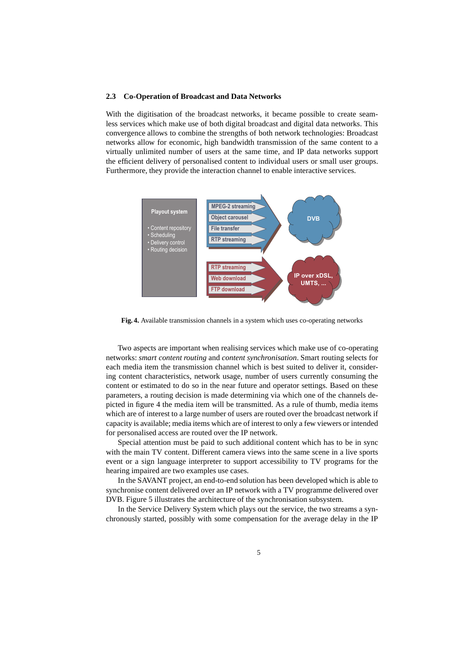#### **2.3 Co-Operation of Broadcast and Data Networks**

With the digitisation of the broadcast networks, it became possible to create seamless services which make use of both digital broadcast and digital data networks. This convergence allows to combine the strengths of both network technologies: Broadcast networks allow for economic, high bandwidth transmission of the same content to a virtually unlimited number of users at the same time, and IP data networks support the efficient delivery of personalised content to individual users or small user groups. Furthermore, they provide the interaction channel to enable interactive services.



**Fig. 4.** Available transmission channels in a system which uses co-operating networks

Two aspects are important when realising services which make use of co-operating networks: *smart content routing* and *content synchronisation*. Smart routing selects for each media item the transmission channel which is best suited to deliver it, considering content characteristics, network usage, number of users currently consuming the content or estimated to do so in the near future and operator settings. Based on these parameters, a routing decision is made determining via which one of the channels depicted in figure 4 the media item will be transmitted. As a rule of thumb, media items which are of interest to a large number of users are routed over the broadcast network if capacity is available; media items which are of interest to only a few viewers or intended for personalised access are routed over the IP network.

Special attention must be paid to such additional content which has to be in sync with the main TV content. Different camera views into the same scene in a live sports event or a sign language interpreter to support accessibility to TV programs for the hearing impaired are two examples use cases.

In the SAVANT project, an end-to-end solution has been developed which is able to synchronise content delivered over an IP network with a TV programme delivered over DVB. Figure 5 illustrates the architecture of the synchronisation subsystem.

In the Service Delivery System which plays out the service, the two streams a synchronously started, possibly with some compensation for the average delay in the IP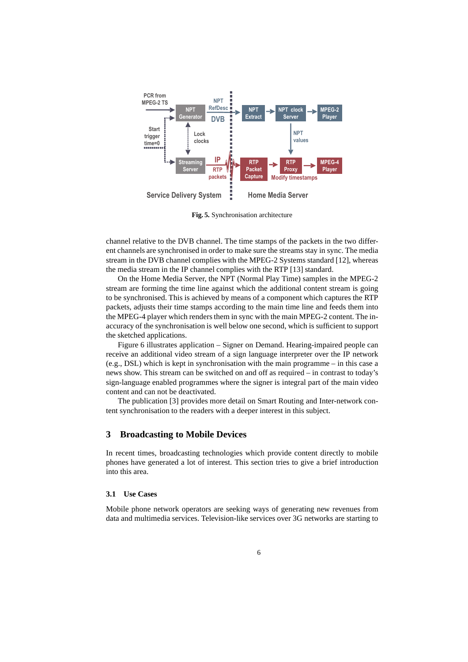

**Fig. 5.** Synchronisation architecture

channel relative to the DVB channel. The time stamps of the packets in the two different channels are synchronised in order to make sure the streams stay in sync. The media stream in the DVB channel complies with the MPEG-2 Systems standard [12], whereas the media stream in the IP channel complies with the RTP [13] standard.

On the Home Media Server, the NPT (Normal Play Time) samples in the MPEG-2 stream are forming the time line against which the additional content stream is going to be synchronised. This is achieved by means of a component which captures the RTP packets, adjusts their time stamps according to the main time line and feeds them into the MPEG-4 player which renders them in sync with the main MPEG-2 content. The inaccuracy of the synchronisation is well below one second, which is sufficient to support the sketched applications.

Figure 6 illustrates application – Signer on Demand. Hearing-impaired people can receive an additional video stream of a sign language interpreter over the IP network (e.g., DSL) which is kept in synchronisation with the main programme – in this case a news show. This stream can be switched on and off as required – in contrast to today's sign-language enabled programmes where the signer is integral part of the main video content and can not be deactivated.

The publication [3] provides more detail on Smart Routing and Inter-network content synchronisation to the readers with a deeper interest in this subject.

## **3 Broadcasting to Mobile Devices**

In recent times, broadcasting technologies which provide content directly to mobile phones have generated a lot of interest. This section tries to give a brief introduction into this area.

#### **3.1 Use Cases**

Mobile phone network operators are seeking ways of generating new revenues from data and multimedia services. Television-like services over 3G networks are starting to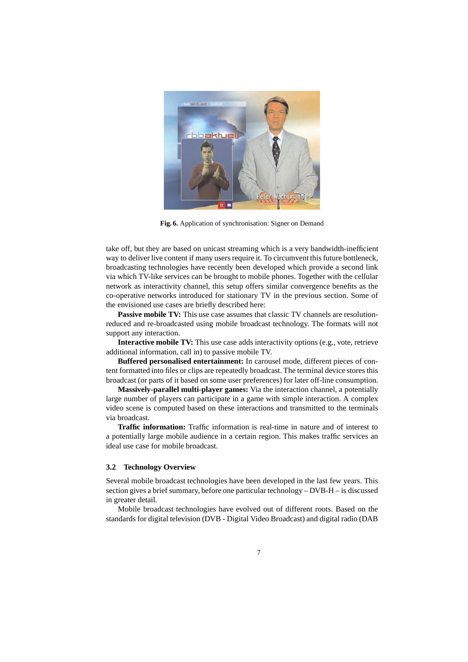

**Fig. 6.** Application of synchronisation: Signer on Demand

take off, but they are based on unicast streaming which is a very bandwidth-inefficient way to deliver live content if many users require it. To circumvent this future bottleneck, broadcasting technologies have recently been developed which provide a second link via which TV-like services can be brought to mobile phones. Together with the cellular network as interactivity channel, this setup offers similar convergence benefits as the co-operative networks introduced for stationary TV in the previous section. Some of the envisioned use cases are briefly described here:

**Passive mobile TV:** This use case assumes that classic TV channels are resolutionreduced and re-broadcasted using mobile broadcast technology. The formats will not support any interaction.

**Interactive mobile TV:** This use case adds interactivity options (e.g., vote, retrieve additional information, call in) to passive mobile TV.

**Buffered personalised entertainment:** In carousel mode, different pieces of content formatted into files or clips are repeatedly broadcast. The terminal device stores this broadcast (or parts of it based on some user preferences) for later off-line consumption.

**Massively-parallel multi-player games:** Via the interaction channel, a potentially large number of players can participate in a game with simple interaction. A complex video scene is computed based on these interactions and transmitted to the terminals via broadcast.

**Traffic information:** Traffic information is real-time in nature and of interest to a potentially large mobile audience in a certain region. This makes traffic services an ideal use case for mobile broadcast.

#### **3.2 Technology Overview**

Several mobile broadcast technologies have been developed in the last few years. This section gives a brief summary, before one particular technology – DVB-H – is discussed in greater detail.

Mobile broadcast technologies have evolved out of different roots. Based on the standards for digital television (DVB - Digital Video Broadcast) and digital radio (DAB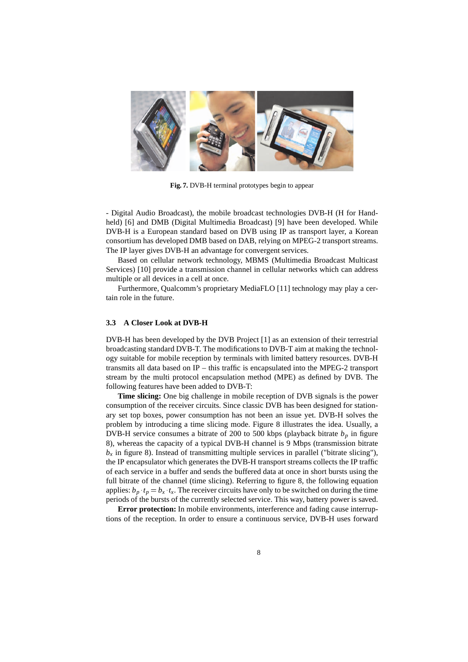

**Fig. 7.** DVB-H terminal prototypes begin to appear

- Digital Audio Broadcast), the mobile broadcast technologies DVB-H (H for Handheld) [6] and DMB (Digital Multimedia Broadcast) [9] have been developed. While DVB-H is a European standard based on DVB using IP as transport layer, a Korean consortium has developed DMB based on DAB, relying on MPEG-2 transport streams. The IP layer gives DVB-H an advantage for convergent services.

Based on cellular network technology, MBMS (Multimedia Broadcast Multicast Services) [10] provide a transmission channel in cellular networks which can address multiple or all devices in a cell at once.

Furthermore, Qualcomm's proprietary MediaFLO [11] technology may play a certain role in the future.

#### **3.3 A Closer Look at DVB-H**

DVB-H has been developed by the DVB Project [1] as an extension of their terrestrial broadcasting standard DVB-T. The modifications to DVB-T aim at making the technology suitable for mobile reception by terminals with limited battery resources. DVB-H transmits all data based on IP – this traffic is encapsulated into the MPEG-2 transport stream by the multi protocol encapsulation method (MPE) as defined by DVB. The following features have been added to DVB-T:

**Time slicing:** One big challenge in mobile reception of DVB signals is the power consumption of the receiver circuits. Since classic DVB has been designed for stationary set top boxes, power consumption has not been an issue yet. DVB-H solves the problem by introducing a time slicing mode. Figure 8 illustrates the idea. Usually, a DVB-H service consumes a bitrate of 200 to 500 kbps (playback bitrate  $b<sub>p</sub>$  in figure 8), whereas the capacity of a typical DVB-H channel is 9 Mbps (transmission bitrate  $b<sub>x</sub>$  in figure 8). Instead of transmitting multiple services in parallel ("bitrate slicing"), the IP encapsulator which generates the DVB-H transport streams collects the IP traffic of each service in a buffer and sends the buffered data at once in short bursts using the full bitrate of the channel (time slicing). Referring to figure 8, the following equation applies:  $b_p \thinspace t_p = b_x \thinspace t_x$ . The receiver circuits have only to be switched on during the time periods of the bursts of the currently selected service. This way, battery power is saved.

**Error protection:** In mobile environments, interference and fading cause interruptions of the reception. In order to ensure a continuous service, DVB-H uses forward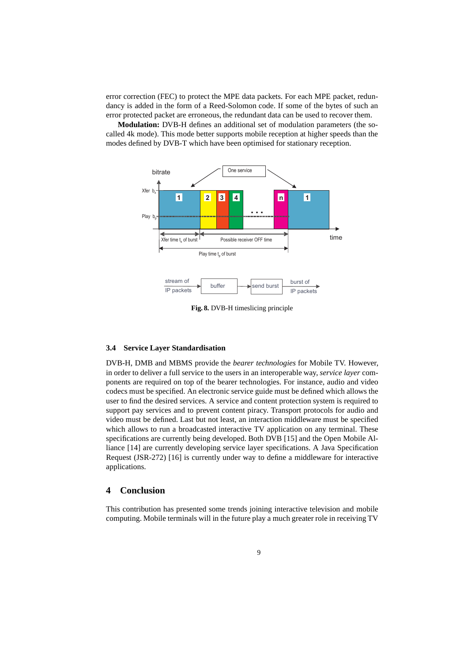error correction (FEC) to protect the MPE data packets. For each MPE packet, redundancy is added in the form of a Reed-Solomon code. If some of the bytes of such an error protected packet are erroneous, the redundant data can be used to recover them.

**Modulation:** DVB-H defines an additional set of modulation parameters (the socalled 4k mode). This mode better supports mobile reception at higher speeds than the modes defined by DVB-T which have been optimised for stationary reception.



**Fig. 8.** DVB-H timeslicing principle

#### **3.4 Service Layer Standardisation**

DVB-H, DMB and MBMS provide the *bearer technologies* for Mobile TV. However, in order to deliver a full service to the users in an interoperable way, *service layer* components are required on top of the bearer technologies. For instance, audio and video codecs must be specified. An electronic service guide must be defined which allows the user to find the desired services. A service and content protection system is required to support pay services and to prevent content piracy. Transport protocols for audio and video must be defined. Last but not least, an interaction middleware must be specified which allows to run a broadcasted interactive TV application on any terminal. These specifications are currently being developed. Both DVB [15] and the Open Mobile Alliance [14] are currently developing service layer specifications. A Java Specification Request (JSR-272) [16] is currently under way to define a middleware for interactive applications.

# **4 Conclusion**

This contribution has presented some trends joining interactive television and mobile computing. Mobile terminals will in the future play a much greater role in receiving TV